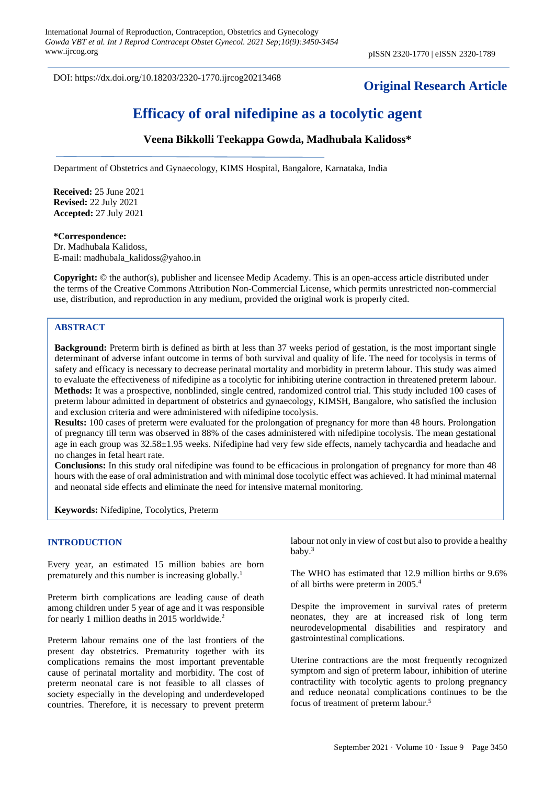DOI: https://dx.doi.org/10.18203/2320-1770.ijrcog20213468

## **Original Research Article**

# **Efficacy of oral nifedipine as a tocolytic agent**

## **Veena Bikkolli Teekappa Gowda, Madhubala Kalidoss\***

Department of Obstetrics and Gynaecology, KIMS Hospital, Bangalore, Karnataka, India

**Received:** 25 June 2021 **Revised:** 22 July 2021 **Accepted:** 27 July 2021

#### **\*Correspondence:**

Dr. Madhubala Kalidoss, E-mail: madhubala\_kalidoss@yahoo.in

**Copyright:** © the author(s), publisher and licensee Medip Academy. This is an open-access article distributed under the terms of the Creative Commons Attribution Non-Commercial License, which permits unrestricted non-commercial use, distribution, and reproduction in any medium, provided the original work is properly cited.

#### **ABSTRACT**

**Background:** Preterm birth is defined as birth at less than 37 weeks period of gestation, is the most important single determinant of adverse infant outcome in terms of both survival and quality of life. The need for tocolysis in terms of safety and efficacy is necessary to decrease perinatal mortality and morbidity in preterm labour. This study was aimed to evaluate the effectiveness of nifedipine as a tocolytic for inhibiting uterine contraction in threatened preterm labour. **Methods:** It was a prospective, nonblinded, single centred, randomized control trial. This study included 100 cases of preterm labour admitted in department of obstetrics and gynaecology, KIMSH, Bangalore, who satisfied the inclusion and exclusion criteria and were administered with nifedipine tocolysis.

**Results:** 100 cases of preterm were evaluated for the prolongation of pregnancy for more than 48 hours. Prolongation of pregnancy till term was observed in 88% of the cases administered with nifedipine tocolysis. The mean gestational age in each group was 32.58±1.95 weeks. Nifedipine had very few side effects, namely tachycardia and headache and no changes in fetal heart rate.

**Conclusions:** In this study oral nifedipine was found to be efficacious in prolongation of pregnancy for more than 48 hours with the ease of oral administration and with minimal dose tocolytic effect was achieved. It had minimal maternal and neonatal side effects and eliminate the need for intensive maternal monitoring.

**Keywords:** Nifedipine, Tocolytics, Preterm

#### **INTRODUCTION**

Every year, an estimated 15 million babies are born prematurely and this number is increasing globally.<sup>1</sup>

Preterm birth complications are leading cause of death among children under 5 year of age and it was responsible for nearly 1 million deaths in 2015 worldwide.<sup>2</sup>

Preterm labour remains one of the last frontiers of the present day obstetrics. Prematurity together with its complications remains the most important preventable cause of perinatal mortality and morbidity. The cost of preterm neonatal care is not feasible to all classes of society especially in the developing and underdeveloped countries. Therefore, it is necessary to prevent preterm labour not only in view of cost but also to provide a healthy baby. 3

The WHO has estimated that 12.9 million births or 9.6% of all births were preterm in 2005.<sup>4</sup>

Despite the improvement in survival rates of preterm neonates, they are at increased risk of long term neurodevelopmental disabilities and respiratory and gastrointestinal complications.

Uterine contractions are the most frequently recognized symptom and sign of preterm labour, inhibition of uterine contractility with tocolytic agents to prolong pregnancy and reduce neonatal complications continues to be the focus of treatment of preterm labour.<sup>5</sup>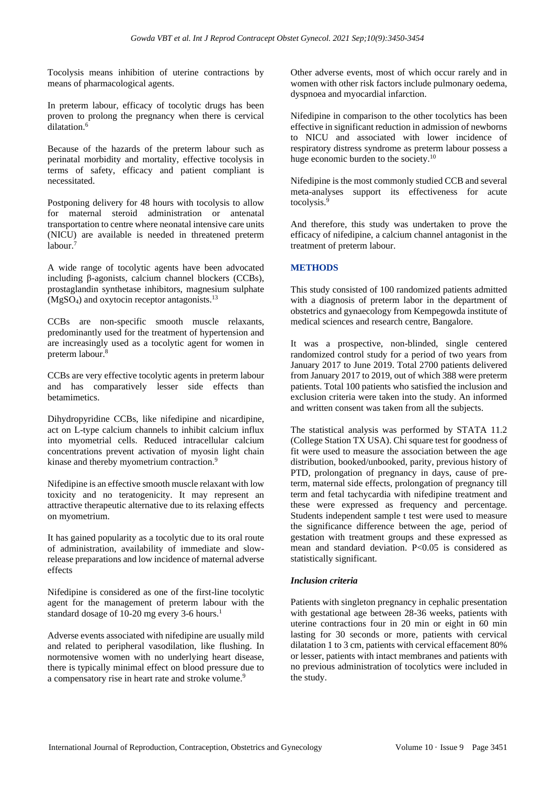Tocolysis means inhibition of uterine contractions by means of pharmacological agents.

In preterm labour, efficacy of tocolytic drugs has been proven to prolong the pregnancy when there is cervical dilatation.<sup>6</sup>

Because of the hazards of the preterm labour such as perinatal morbidity and mortality, effective tocolysis in terms of safety, efficacy and patient compliant is necessitated.

Postponing delivery for 48 hours with tocolysis to allow for maternal steroid administration or antenatal transportation to centre where neonatal intensive care units (NICU) are available is needed in threatened preterm labour.<sup>7</sup>

A wide range of tocolytic agents have been advocated including β-agonists, calcium channel blockers (CCBs), prostaglandin synthetase inhibitors, magnesium sulphate  $(MgSO<sub>4</sub>)$  and oxytocin receptor antagonists.<sup>13</sup>

CCBs are non-specific smooth muscle relaxants, predominantly used for the treatment of hypertension and are increasingly used as a tocolytic agent for women in preterm labour. 8

CCBs are very effective tocolytic agents in preterm labour and has comparatively lesser side effects than betamimetics.

Dihydropyridine CCBs, like nifedipine and nicardipine, act on L-type calcium channels to inhibit calcium influx into myometrial cells. Reduced intracellular calcium concentrations prevent activation of myosin light chain kinase and thereby myometrium contraction.<sup>9</sup>

Nifedipine is an effective smooth muscle relaxant with low toxicity and no teratogenicity. It may represent an attractive therapeutic alternative due to its relaxing effects on myometrium.

It has gained popularity as a tocolytic due to its oral route of administration, availability of immediate and slowrelease preparations and low incidence of maternal adverse effects

Nifedipine is considered as one of the first-line tocolytic agent for the management of preterm labour with the standard dosage of 10-20 mg every 3-6 hours.<sup>1</sup>

Adverse events associated with nifedipine are usually mild and related to peripheral vasodilation, like flushing. In normotensive women with no underlying heart disease, there is typically minimal effect on blood pressure due to a compensatory rise in heart rate and stroke volume.<sup>9</sup>

Other adverse events, most of which occur rarely and in women with other risk factors include pulmonary oedema, dyspnoea and myocardial infarction.

Nifedipine in comparison to the other tocolytics has been effective in significant reduction in admission of newborns to NICU and associated with lower incidence of respiratory distress syndrome as preterm labour possess a huge economic burden to the society.<sup>10</sup>

Nifedipine is the most commonly studied CCB and several meta-analyses support its effectiveness for acute tocolysis.<sup>9</sup>

And therefore, this study was undertaken to prove the efficacy of nifedipine, a calcium channel antagonist in the treatment of preterm labour.

## **METHODS**

This study consisted of 100 randomized patients admitted with a diagnosis of preterm labor in the department of obstetrics and gynaecology from Kempegowda institute of medical sciences and research centre, Bangalore.

It was a prospective, non-blinded, single centered randomized control study for a period of two years from January 2017 to June 2019. Total 2700 patients delivered from January 2017 to 2019, out of which 388 were preterm patients. Total 100 patients who satisfied the inclusion and exclusion criteria were taken into the study. An informed and written consent was taken from all the subjects.

The statistical analysis was performed by STATA 11.2 (College Station TX USA). Chi square test for goodness of fit were used to measure the association between the age distribution, booked/unbooked, parity, previous history of PTD, prolongation of pregnancy in days, cause of preterm, maternal side effects, prolongation of pregnancy till term and fetal tachycardia with nifedipine treatment and these were expressed as frequency and percentage. Students independent sample t test were used to measure the significance difference between the age, period of gestation with treatment groups and these expressed as mean and standard deviation. P<0.05 is considered as statistically significant.

#### *Inclusion criteria*

Patients with singleton pregnancy in cephalic presentation with gestational age between 28-36 weeks, patients with uterine contractions four in 20 min or eight in 60 min lasting for 30 seconds or more, patients with cervical dilatation 1 to 3 cm, patients with cervical effacement 80% or lesser, patients with intact membranes and patients with no previous administration of tocolytics were included in the study.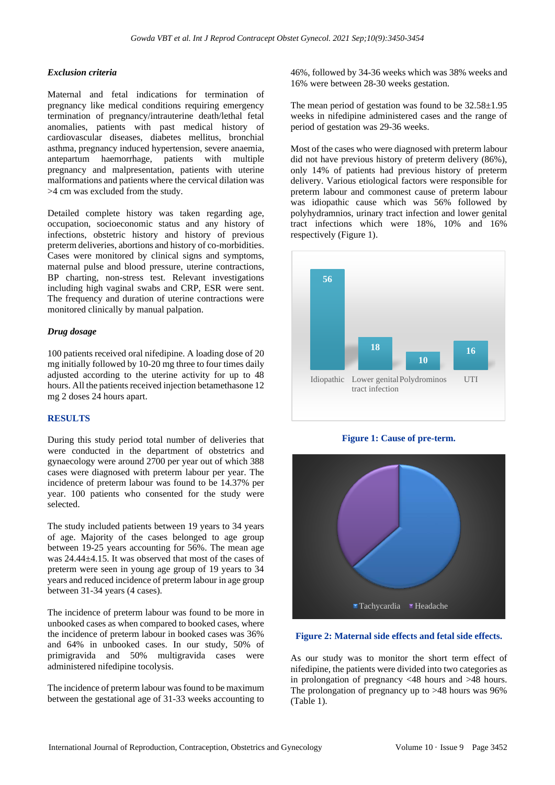#### *Exclusion criteria*

Maternal and fetal indications for termination of pregnancy like medical conditions requiring emergency termination of pregnancy/intrauterine death/lethal fetal anomalies, patients with past medical history of cardiovascular diseases, diabetes mellitus, bronchial asthma, pregnancy induced hypertension, severe anaemia, antepartum haemorrhage, patients with multiple pregnancy and malpresentation, patients with uterine malformations and patients where the cervical dilation was >4 cm was excluded from the study.

Detailed complete history was taken regarding age, occupation, socioeconomic status and any history of infections, obstetric history and history of previous preterm deliveries, abortions and history of co-morbidities. Cases were monitored by clinical signs and symptoms, maternal pulse and blood pressure, uterine contractions, BP charting, non-stress test. Relevant investigations including high vaginal swabs and CRP, ESR were sent. The frequency and duration of uterine contractions were monitored clinically by manual palpation.

### *Drug dosage*

100 patients received oral nifedipine. A loading dose of 20 mg initially followed by 10-20 mg three to four times daily adjusted according to the uterine activity for up to 48 hours. All the patients received injection betamethasone 12 mg 2 doses 24 hours apart.

#### **RESULTS**

During this study period total number of deliveries that were conducted in the department of obstetrics and gynaecology were around 2700 per year out of which 388 cases were diagnosed with preterm labour per year. The incidence of preterm labour was found to be 14.37% per year. 100 patients who consented for the study were selected.

The study included patients between 19 years to 34 years of age. Majority of the cases belonged to age group between 19-25 years accounting for 56%. The mean age was 24.44±4.15. It was observed that most of the cases of preterm were seen in young age group of 19 years to 34 years and reduced incidence of preterm labour in age group between 31-34 years (4 cases).

The incidence of preterm labour was found to be more in unbooked cases as when compared to booked cases, where the incidence of preterm labour in booked cases was 36% and 64% in unbooked cases. In our study, 50% of primigravida and 50% multigravida cases were administered nifedipine tocolysis.

The incidence of preterm labour was found to be maximum between the gestational age of 31-33 weeks accounting to 46%, followed by 34-36 weeks which was 38% weeks and 16% were between 28-30 weeks gestation.

The mean period of gestation was found to be  $32.58 \pm 1.95$ weeks in nifedipine administered cases and the range of period of gestation was 29-36 weeks.

Most of the cases who were diagnosed with preterm labour did not have previous history of preterm delivery (86%), only 14% of patients had previous history of preterm delivery. Various etiological factors were responsible for preterm labour and commonest cause of preterm labour was idiopathic cause which was 56% followed by polyhydramnios, urinary tract infection and lower genital tract infections which were 18%, 10% and 16% respectively (Figure 1).



**Figure 1: Cause of pre-term.**



#### **Figure 2: Maternal side effects and fetal side effects.**

As our study was to monitor the short term effect of nifedipine, the patients were divided into two categories as in prolongation of pregnancy <48 hours and >48 hours. The prolongation of pregnancy up to >48 hours was 96% (Table 1).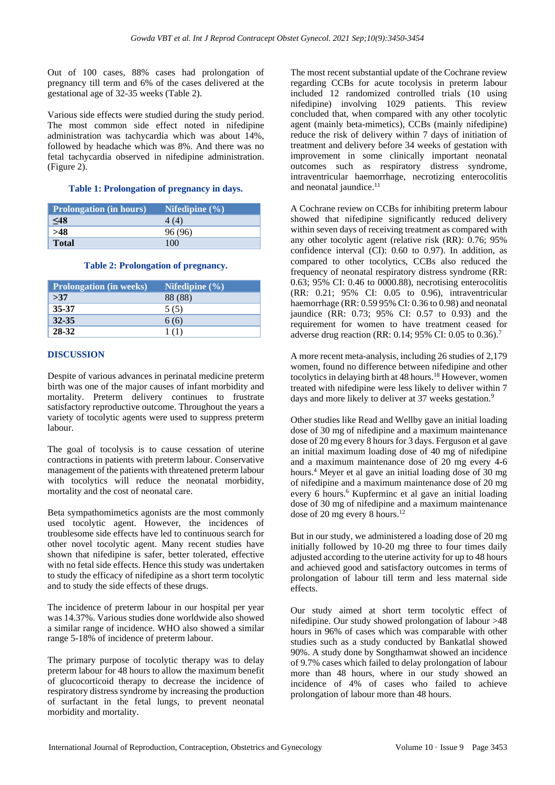Out of 100 cases, 88% cases had prolongation of pregnancy till term and 6% of the cases delivered at the gestational age of 32-35 weeks (Table 2).

Various side effects were studied during the study period. The most common side effect noted in nifedipine administration was tachycardia which was about 14%, followed by headache which was 8%. And there was no fetal tachycardia observed in nifedipine administration. (Figure 2).

### **Table 1: Prolongation of pregnancy in days.**

| <b>Prolongation</b> (in hours) | Nifedipine $(\% )$ |
|--------------------------------|--------------------|
| $\leq 48$                      |                    |
| >48                            | 96 (96)            |
| <b>Total</b>                   | 100                |

#### **Table 2: Prolongation of pregnancy.**

| <b>Prolongation</b> (in weeks) | Nifedipine $(\% )$ |
|--------------------------------|--------------------|
| >37                            | 88 (88)            |
| 35-37                          | 5(5)               |
| $32 - 35$                      | 6(6)               |
| 28-32                          |                    |

### **DISCUSSION**

Despite of various advances in perinatal medicine preterm birth was one of the major causes of infant morbidity and mortality. Preterm delivery continues to frustrate satisfactory reproductive outcome. Throughout the years a variety of tocolytic agents were used to suppress preterm labour.

The goal of tocolysis is to cause cessation of uterine contractions in patients with preterm labour. Conservative management of the patients with threatened preterm labour with tocolytics will reduce the neonatal morbidity, mortality and the cost of neonatal care.

Beta sympathomimetics agonists are the most commonly used tocolytic agent. However, the incidences of troublesome side effects have led to continuous search for other novel tocolytic agent. Many recent studies have shown that nifedipine is safer, better tolerated, effective with no fetal side effects. Hence this study was undertaken to study the efficacy of nifedipine as a short term tocolytic and to study the side effects of these drugs.

The incidence of preterm labour in our hospital per year was 14.37%. Various studies done worldwide also showed a similar range of incidence. WHO also showed a similar range 5-18% of incidence of preterm labour.

The primary purpose of tocolytic therapy was to delay preterm labour for 48 hours to allow the maximum benefit of glucocorticoid therapy to decrease the incidence of respiratory distress syndrome by increasing the production of surfactant in the fetal lungs, to prevent neonatal morbidity and mortality.

The most recent substantial update of the Cochrane review regarding CCBs for acute tocolysis in preterm labour included 12 randomized controlled trials (10 using nifedipine) involving 1029 patients. This review concluded that, when compared with any other tocolytic agent (mainly beta-mimetics), CCBs (mainly nifedipine) reduce the risk of delivery within 7 days of initiation of treatment and delivery before 34 weeks of gestation with improvement in some clinically important neonatal outcomes such as respiratory distress syndrome, intraventricular haemorrhage, necrotizing enterocolitis and neonatal jaundice.<sup>11</sup>

A Cochrane review on CCBs for inhibiting preterm labour showed that nifedipine significantly reduced delivery within seven days of receiving treatment as compared with any other tocolytic agent (relative risk (RR): 0.76; 95% confidence interval (CI): 0.60 to 0.97). In addition, as compared to other tocolytics, CCBs also reduced the frequency of neonatal respiratory distress syndrome (RR: 0.63; 95% CI: 0.46 to 0000.88), necrotising enterocolitis (RR: 0.21; 95% CI: 0.05 to 0.96), intraventricular haemorrhage (RR: 0.59 95% CI: 0.36 to 0.98) and neonatal jaundice (RR: 0.73; 95% CI: 0.57 to 0.93) and the requirement for women to have treatment ceased for adverse drug reaction (RR: 0.14; 95% CI: 0.05 to 0.36).<sup>7</sup>

A more recent meta-analysis, including 26 studies of 2,179 women, found no difference between nifedipine and other tocolytics in delaying birth at 48 hours.<sup>18</sup> However, women treated with nifedipine were less likely to deliver within 7 days and more likely to deliver at 37 weeks gestation.<sup>9</sup>

Other studies like Read and Wellby gave an initial loading dose of 30 mg of nifedipine and a maximum maintenance dose of 20 mg every 8 hours for 3 days. Ferguson et al gave an initial maximum loading dose of 40 mg of nifedipine and a maximum maintenance dose of 20 mg every 4-6 hours.<sup>4</sup> Meyer et al gave an initial loading dose of 30 mg of nifedipine and a maximum maintenance dose of 20 mg every 6 hours.<sup>6</sup> Kupferminc et al gave an initial loading dose of 30 mg of nifedipine and a maximum maintenance dose of 20 mg every 8 hours.<sup>12</sup>

But in our study, we administered a loading dose of 20 mg initially followed by 10-20 mg three to four times daily adjusted according to the uterine activity for up to 48 hours and achieved good and satisfactory outcomes in terms of prolongation of labour till term and less maternal side effects.

Our study aimed at short term tocolytic effect of nifedipine. Our study showed prolongation of labour >48 hours in 96% of cases which was comparable with other studies such as a study conducted by Bankatlal showed 90%. A study done by Songthamwat showed an incidence of 9.7% cases which failed to delay prolongation of labour more than 48 hours, where in our study showed an incidence of 4% of cases who failed to achieve prolongation of labour more than 48 hours.